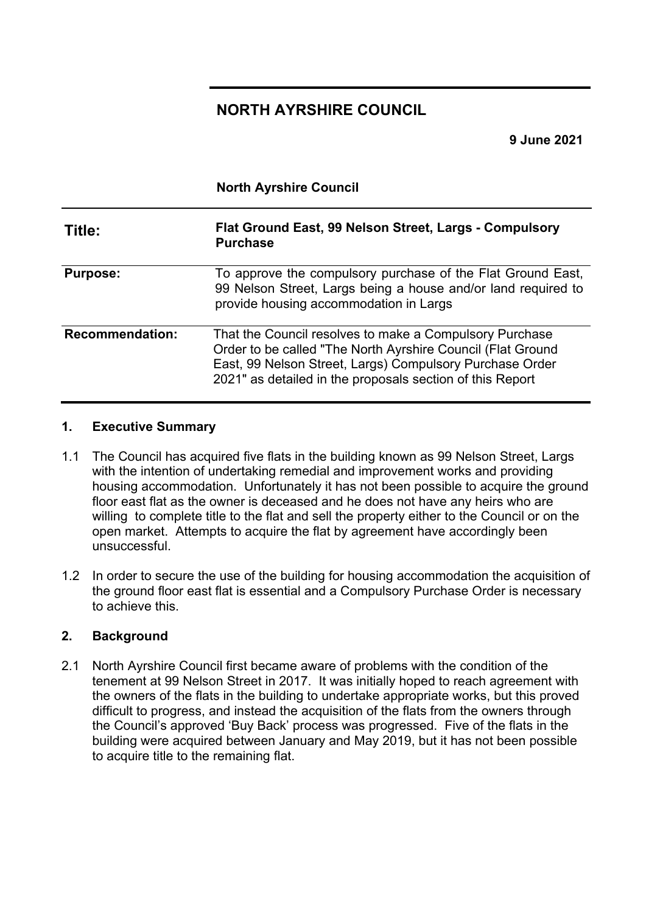# **NORTH AYRSHIRE COUNCIL**

**9 June 2021** 

|                        | <b>North Ayrshire Council</b>                                                                                                                                                                                                                   |
|------------------------|-------------------------------------------------------------------------------------------------------------------------------------------------------------------------------------------------------------------------------------------------|
| Title:                 | Flat Ground East, 99 Nelson Street, Largs - Compulsory<br><b>Purchase</b>                                                                                                                                                                       |
| <b>Purpose:</b>        | To approve the compulsory purchase of the Flat Ground East,<br>99 Nelson Street, Largs being a house and/or land required to<br>provide housing accommodation in Largs                                                                          |
| <b>Recommendation:</b> | That the Council resolves to make a Compulsory Purchase<br>Order to be called "The North Ayrshire Council (Flat Ground<br>East, 99 Nelson Street, Largs) Compulsory Purchase Order<br>2021" as detailed in the proposals section of this Report |

#### **1. Executive Summary**

- 1.1 The Council has acquired five flats in the building known as 99 Nelson Street, Largs with the intention of undertaking remedial and improvement works and providing housing accommodation. Unfortunately it has not been possible to acquire the ground floor east flat as the owner is deceased and he does not have any heirs who are willing to complete title to the flat and sell the property either to the Council or on the open market. Attempts to acquire the flat by agreement have accordingly been unsuccessful.
- 1.2 In order to secure the use of the building for housing accommodation the acquisition of the ground floor east flat is essential and a Compulsory Purchase Order is necessary to achieve this.

#### **2. Background**

2.1 North Ayrshire Council first became aware of problems with the condition of the tenement at 99 Nelson Street in 2017. It was initially hoped to reach agreement with the owners of the flats in the building to undertake appropriate works, but this proved difficult to progress, and instead the acquisition of the flats from the owners through the Council's approved 'Buy Back' process was progressed. Five of the flats in the building were acquired between January and May 2019, but it has not been possible to acquire title to the remaining flat.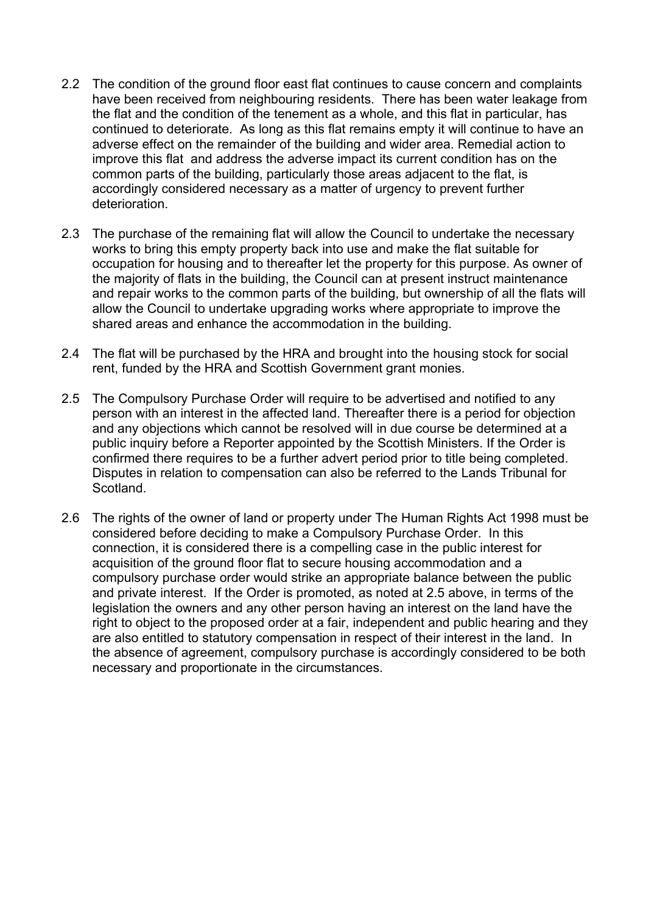- 2.2 The condition of the ground floor east flat continues to cause concern and complaints have been received from neighbouring residents. There has been water leakage from the flat and the condition of the tenement as a whole, and this flat in particular, has continued to deteriorate. As long as this flat remains empty it will continue to have an adverse effect on the remainder of the building and wider area. Remedial action to improve this flat and address the adverse impact its current condition has on the common parts of the building, particularly those areas adjacent to the flat, is accordingly considered necessary as a matter of urgency to prevent further deterioration.
- 2.3 The purchase of the remaining flat will allow the Council to undertake the necessary works to bring this empty property back into use and make the flat suitable for occupation for housing and to thereafter let the property for this purpose. As owner of the majority of flats in the building, the Council can at present instruct maintenance and repair works to the common parts of the building, but ownership of all the flats will allow the Council to undertake upgrading works where appropriate to improve the shared areas and enhance the accommodation in the building.
- 2.4 The flat will be purchased by the HRA and brought into the housing stock for social rent, funded by the HRA and Scottish Government grant monies.
- 2.5 The Compulsory Purchase Order will require to be advertised and notified to any person with an interest in the affected land. Thereafter there is a period for objection and any objections which cannot be resolved will in due course be determined at a public inquiry before a Reporter appointed by the Scottish Ministers. If the Order is confirmed there requires to be a further advert period prior to title being completed. Disputes in relation to compensation can also be referred to the Lands Tribunal for Scotland.
- 2.6 The rights of the owner of land or property under The Human Rights Act 1998 must be considered before deciding to make a Compulsory Purchase Order. In this connection, it is considered there is a compelling case in the public interest for acquisition of the ground floor flat to secure housing accommodation and a compulsory purchase order would strike an appropriate balance between the public and private interest. If the Order is promoted, as noted at 2.5 above, in terms of the legislation the owners and any other person having an interest on the land have the right to object to the proposed order at a fair, independent and public hearing and they are also entitled to statutory compensation in respect of their interest in the land. In the absence of agreement, compulsory purchase is accordingly considered to be both necessary and proportionate in the circumstances.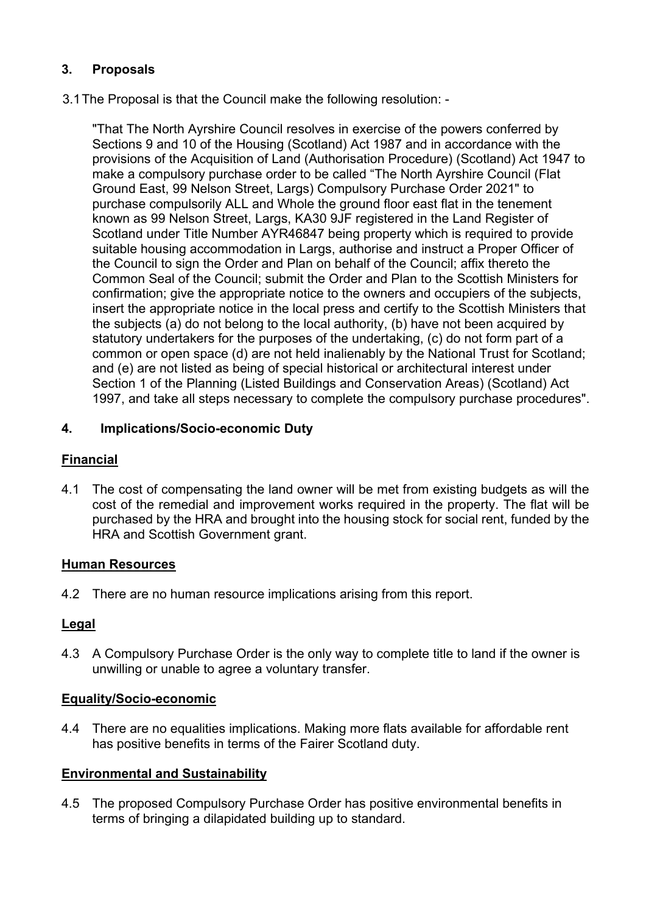# **3. Proposals**

#### 3.1The Proposal is that the Council make the following resolution: -

"That The North Ayrshire Council resolves in exercise of the powers conferred by Sections 9 and 10 of the Housing (Scotland) Act 1987 and in accordance with the provisions of the Acquisition of Land (Authorisation Procedure) (Scotland) Act 1947 to make a compulsory purchase order to be called "The North Ayrshire Council (Flat Ground East, 99 Nelson Street, Largs) Compulsory Purchase Order 2021" to purchase compulsorily ALL and Whole the ground floor east flat in the tenement known as 99 Nelson Street, Largs, KA30 9JF registered in the Land Register of Scotland under Title Number AYR46847 being property which is required to provide suitable housing accommodation in Largs, authorise and instruct a Proper Officer of the Council to sign the Order and Plan on behalf of the Council; affix thereto the Common Seal of the Council; submit the Order and Plan to the Scottish Ministers for confirmation; give the appropriate notice to the owners and occupiers of the subjects, insert the appropriate notice in the local press and certify to the Scottish Ministers that the subjects (a) do not belong to the local authority, (b) have not been acquired by statutory undertakers for the purposes of the undertaking, (c) do not form part of a common or open space (d) are not held inalienably by the National Trust for Scotland; and (e) are not listed as being of special historical or architectural interest under Section 1 of the Planning (Listed Buildings and Conservation Areas) (Scotland) Act 1997, and take all steps necessary to complete the compulsory purchase procedures".

# **4. Implications/Socio-economic Duty**

# **Financial**

4.1 The cost of compensating the land owner will be met from existing budgets as will the cost of the remedial and improvement works required in the property. The flat will be purchased by the HRA and brought into the housing stock for social rent, funded by the HRA and Scottish Government grant.

# **Human Resources**

4.2 There are no human resource implications arising from this report.

# **Legal**

4.3 A Compulsory Purchase Order is the only way to complete title to land if the owner is unwilling or unable to agree a voluntary transfer.

# **Equality/Socio-economic**

4.4 There are no equalities implications. Making more flats available for affordable rent has positive benefits in terms of the Fairer Scotland duty.

# **Environmental and Sustainability**

4.5 The proposed Compulsory Purchase Order has positive environmental benefits in terms of bringing a dilapidated building up to standard.